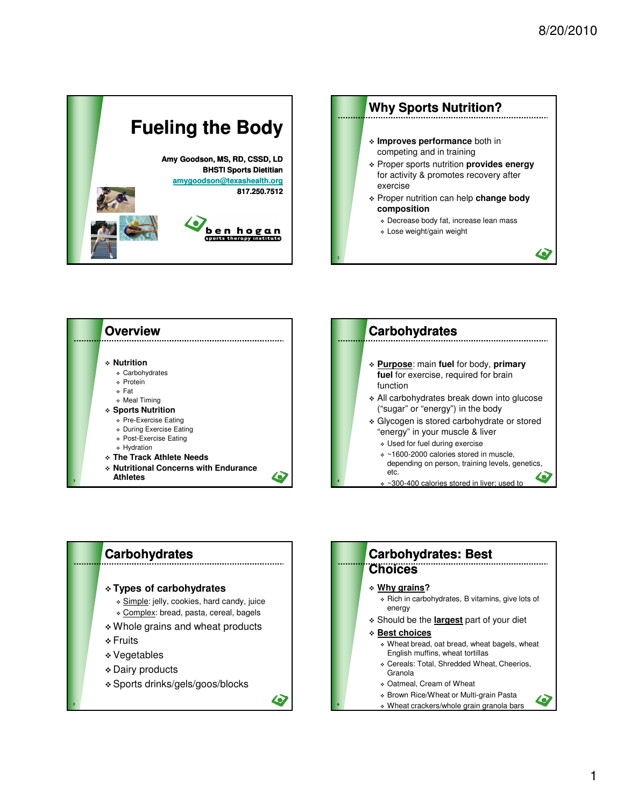







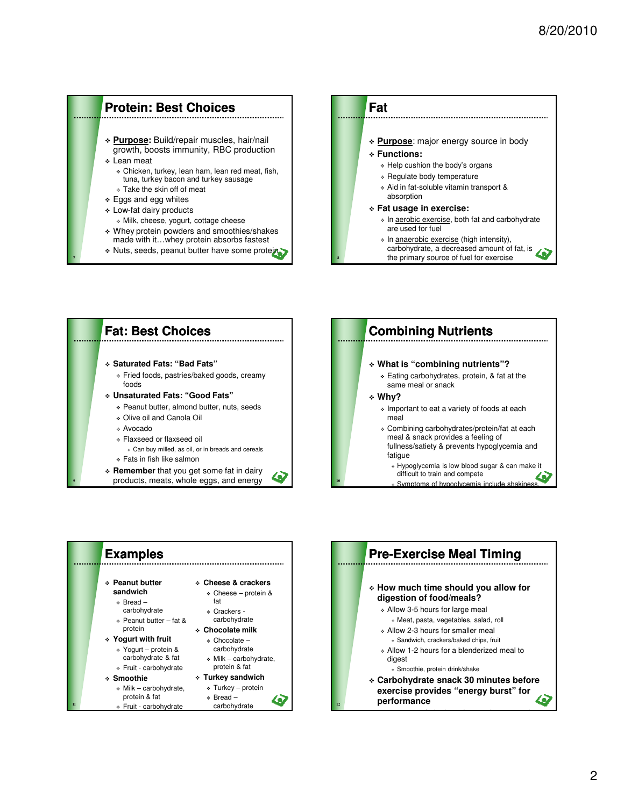# **Protein: Best Choices**

- **Purpose:** Build/repair muscles, hair/nail growth, boosts immunity, RBC production
- Lean meat

bars/shakes

**7**

- Chicken, turkey, lean ham, lean red meat, fish, tuna, turkey bacon and turkey sausage
- Take the skin off of meat
- \* Eggs and egg whites
- Low-fat dairy products
	- Milk, cheese, yogurt, cottage cheese
- Whey protein powders and smoothies/shakes made with it…whey protein absorbs fastest
- \* Nuts, seeds, peanut butter have some protein



**8**







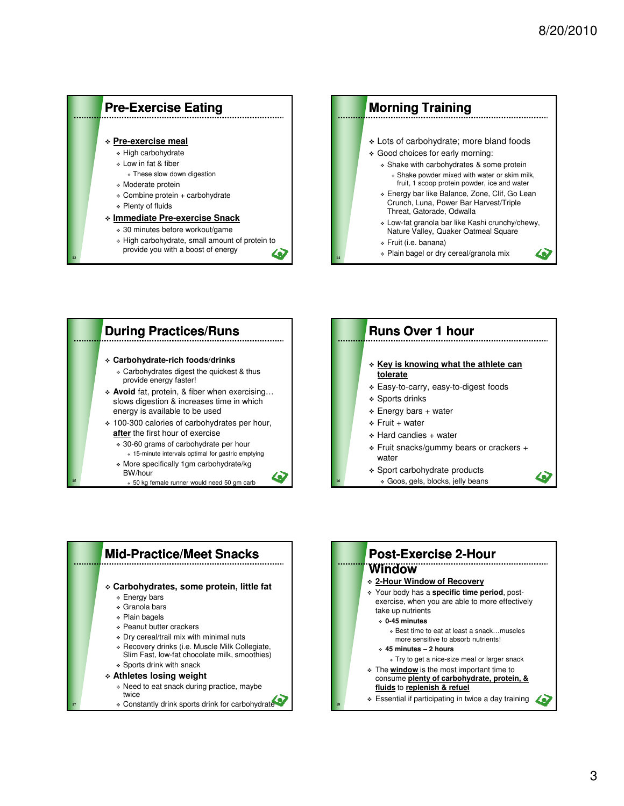#### **Pre-Exercise Eating Pre-exercise meal** High carbohydrate Low in fat & fiber These slow down digestion Moderate protein Combine protein + carbohydrate Plenty of fluids **Immediate Pre-exercise Snack** 30 minutes before workout/game High carbohydrate, small amount of protein to provide you with a boost of energy 40 **13**





50 kg female runner would need 50 gm carb

## **Runs Over 1 hour Key is knowing what the athlete can tolerate** Easy-to-carry, easy-to-digest foods Sports drinks

- $\div$  Energy bars + water
- $\div$  Fruit + water

**16**

- Hard candies + water
- Fruit snacks/gummy bears or crackers + water

49

 Sport carbohydrate products Goos, gels, blocks, jelly beans



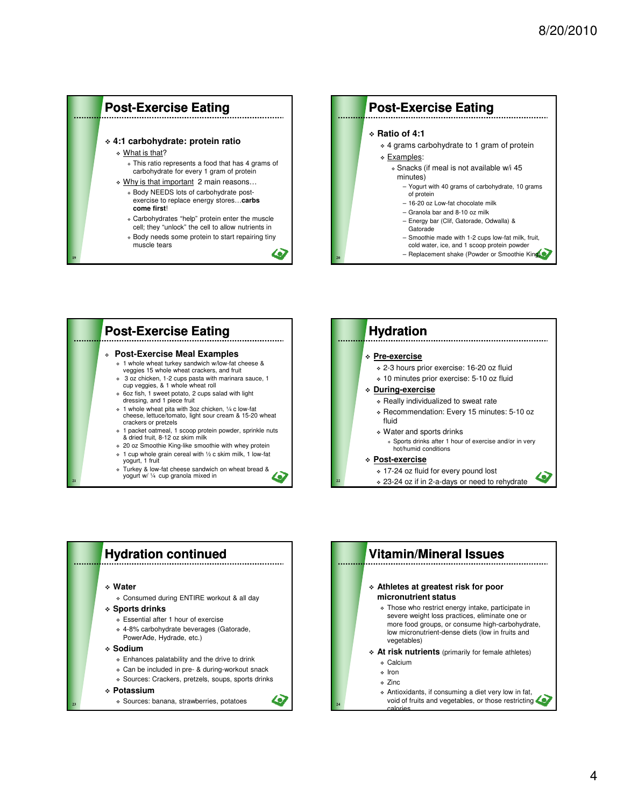





**19**

**21**

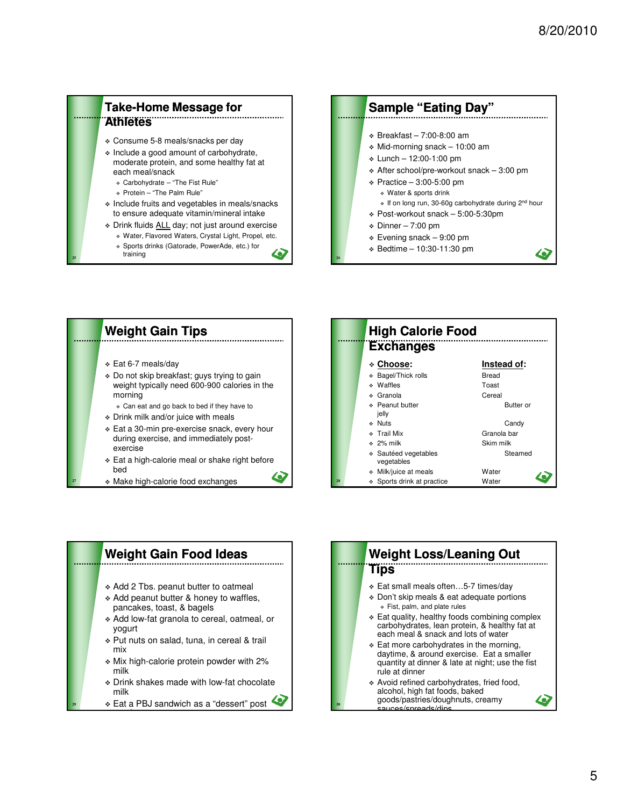### **Take-Home Message for Athletes**

- Consume 5-8 meals/snacks per day
- Include a good amount of carbohydrate, moderate protein, and some healthy fat at each meal/snack
	- Carbohydrate "The Fist Rule"
	- Protein "The Palm Rule"

**25**

- Include fruits and vegetables in meals/snacks to ensure adequate vitamin/mineral intake
- Drink fluids ALL day; not just around exercise Water, Flavored Waters, Crystal Light, Propel, etc.
	- Sports drinks (Gatorade, PowerAde, etc.) for
		- training **26** and 26 and 26 and 26 and 26 and 26 and 26 and 26 and 26 and 26 and 26 and 26 and 26

### **Sample "Eating Day"**  $\div$  Breakfast – 7:00-8:00 am  $\div$  Mid-morning snack - 10:00 am  $\cdot$  Lunch – 12:00-1:00 pm  $\div$  After school/pre-workout snack - 3:00 pm  $\div$  Practice – 3:00-5:00 pm Water & sports drink • If on long run, 30-60g carbohydrate during 2<sup>nd</sup> hour Post-workout snack – 5:00-5:30pm  $\div$  Dinner – 7:00 pm  $\div$  Evening snack – 9:00 pm

- Bedtime 10:30-11:30 pm
- $\blacktriangle$